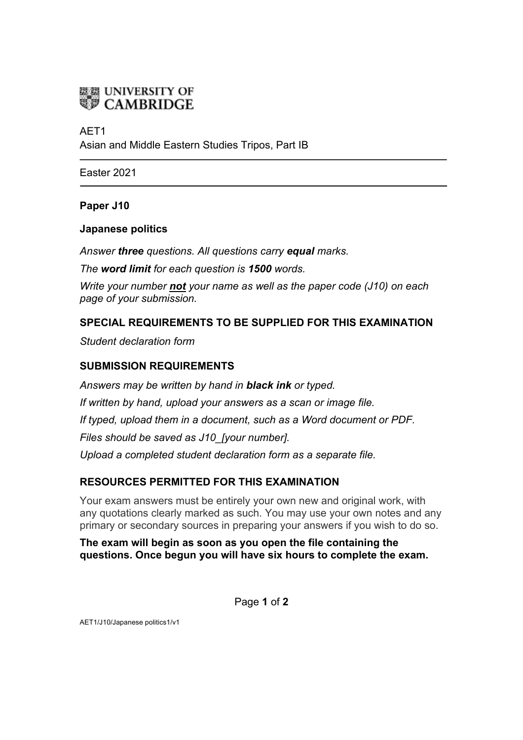

# AET1

Asian and Middle Eastern Studies Tripos, Part IB

Easter 2021

# **Paper J10**

#### **Japanese politics**

*Answer three questions. All questions carry equal marks.*

*The word limit for each question is 1500 words.*

*Write your number not your name as well as the paper code (J10) on each page of your submission.*

# **SPECIAL REQUIREMENTS TO BE SUPPLIED FOR THIS EXAMINATION**

*Student declaration form*

# **SUBMISSION REQUIREMENTS**

*Answers may be written by hand in black ink or typed. If written by hand, upload your answers as a scan or image file. If typed, upload them in a document, such as a Word document or PDF. Files should be saved as J10\_[your number]. Upload a completed student declaration form as a separate file.*

# **RESOURCES PERMITTED FOR THIS EXAMINATION**

Your exam answers must be entirely your own new and original work, with any quotations clearly marked as such. You may use your own notes and any primary or secondary sources in preparing your answers if you wish to do so.

# **The exam will begin as soon as you open the file containing the questions. Once begun you will have six hours to complete the exam.**

Page **1** of **2**

AET1/J10/Japanese politics1/v1